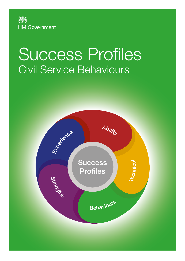

# Success Profiles Civil Service Behaviours

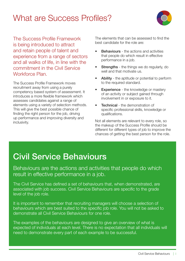### What are Success Profiles?



The Success Profile Framework is being introduced to attract and retain people of talent and experience from a range of sectors and all walks of life, in line with the commitment in the Civil Service Workforce Plan.

The Success Profile Framework moves recruitment away from using a purely competency based system of assessment. It introduces a more flexible framework which assesses candidates against a range of elements using a variety of selection methods. This will give the best possible chance of finding the right person for the job, driving up performance and improving diversity and inclusivity.

The elements that can be assessed to find the best candidate for the role are:

- **Behaviours** the actions and activities that people do which result in effective performance in a job.
- **Strengths** the things we do regularly, do well and that motivate us.
- Ability the aptitude or potential to perform to the required standard.
- **Experience** the knowledge or mastery of an activity or subject gained through involvement in or exposure to it.
- **Technical** the demonstration of specific professional skills, knowledge or qualifications.

Not all elements are relevant to every role, so the makeup of the Success Profile should be different for different types of job to improve the chances of getting the best person for the role.

### Civil Service Behaviours

Behaviours are the actions and activities that people do which result in effective performance in a job.

The Civil Service has defined a set of behaviours that, when demonstrated, are associated with job success. Civil Service Behaviours are specific to the grade level of the job role.

It is important to remember that recruiting managers will choose a selection of behaviours which are best suited to the specific job role. You will not be asked to demonstrate all Civil Service Behaviours for one role.

The examples of the behaviours are designed to give an overview of what is expected of individuals at each level. There is no expectation that all individuals will need to demonstrate every part of each example to be successful.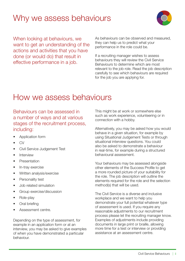### Why we assess behaviours



When looking at behaviours, we want to get an understanding of the actions and activities that you have done (or would do) that result in effective performance in a job.

As behaviours can be observed and measured, they can help us to predict what your performance in the role could be.

If a recruiting manager wishes to assess behaviours they will review the Civil Service Behaviours to determine which are most relevant to the job role. Read the job description carefully to see which behaviours are required for the job you are applying for.

### How we assess behaviours

Behaviours can be assessed in a number of ways and at various stages of the recruitment process, including:

- Application form
- CV
- Civil Service Judgement Test
- Interview
- Presentation
- In-tray exercise
- Written analysis/exercise
- Personality test
- Job related simulation
- Group exercise/discussion
- Role-play
- Oral briefing
- Assessment centre.

Depending on the type of assessment, for example in an application form or at an interview, you may be asked to give examples of when you have demonstrated a particular behaviour.

This might be at work or somewhere else such as work experience, volunteering or in connection with a hobby.

Alternatively, you may be asked how you would behave in a given situation, for example by using Situational Judgement Tests or through situational interview questions. You could also be asked to demonstrate a behaviour in real-time, for example during a structured behavioural assessment.

Your behaviours may be assessed alongside other elements of the Success Profile to get a more rounded picture of your suitability for the role. The job description will outline the elements required for the role and the selection method(s) that will be used.

The Civil Service is a diverse and inclusive workplace and we want to help you demonstrate your full potential whatever type of assessment is used. If you require any reasonable adjustments to our recruitment process please let the recruiting manager know. Examples of adjustments include providing documents in large print or braille, allowing more time for a test or interview or providing assistance at an assessment centre.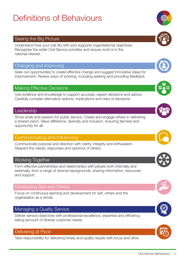### Definitions of Behaviours

### Seeing the Big Picture

Understand how your role fits with and supports organisational objectives. Recognise the wider Civil Service priorities and ensure work is in the national interest.

#### Changing and Improving

Seek out opportunities to create effective change and suggest innovative ideas for improvement. Review ways of working, including seeking and providing feedback.

#### Making Effective Decisions

Use evidence and knowledge to support accurate, expert decisions and advice. Carefully consider alternative options, implications and risks of decisions.

### **Leadership**

Show pride and passion for public service. Create and engage others in delivering a shared vision. Value difference, diversity and inclusion, ensuring fairness and opportunity for all.

#### Communicating and Influencing

Communicate purpose and direction with clarity, integrity and enthusiasm. Respect the needs, responses and opinions of others.

### Working Together

Form effective partnerships and relationships with people both internally and externally, from a range of diverse backgrounds, sharing information, resources and support.

#### Developing Self and Others

Focus on continuous learning and development for self, others and the organisation as a whole.

#### Managing a Quality Service

Deliver service objectives with professional excellence, expertise and efficiency, taking account of diverse customer needs.

#### Delivering at Pace

Take responsibility for delivering timely and quality results with focus and drive.









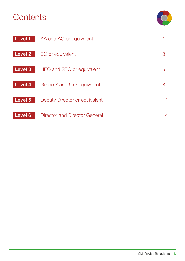### **Contents**



| Level 1        | AA and AO or equivalent       |    |
|----------------|-------------------------------|----|
| <b>Level 2</b> | EO or equivalent              | З  |
| Level 3        | HEO and SEO or equivalent     | 5  |
| Level 4        | Grade 7 and 6 or equivalent   | 8  |
| Level 5        | Deputy Director or equivalent | 11 |
| Level 6        | Director and Director General | 14 |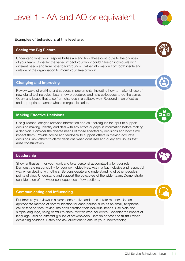### Level 1 - AA and AO or equivalent

#### <span id="page-5-0"></span>Examples of behaviours at this level are:

#### Seeing the Big Picture

Understand what your responsibilities are and how these contribute to the priorities of your team. Consider the varied impact your work could have on individuals with different needs and from other backgrounds. Gather information from both inside and outside of the organisation to inform your area of work.

#### Changing and Improving

Review ways of working and suggest improvements, including how to make full use of new digital technologies. Learn new procedures and help colleagues to do the same. Query any issues that arise from changes in a suitable way. Respond in an effective and appropriate manner when emergencies arise.

#### Making Effective Decisions

Use guidance, analyse relevant information and ask colleagues for input to support decision making. Identify and deal with any errors or gaps in information before making a decision. Consider the diverse needs of those affected by decisions and how it will impact them. Provide advice and feedback to support others in making accurate decisions. Ask others to clarify decisions when confused and query any issues that arise constructively.

#### Leadership

Show enthusiasm for your work and take personal accountability for your role. Demonstrate responsibility for your own objectives. Act in a fair, inclusive and respectful way when dealing with others. Be considerate and understanding of other people's points of view. Understand and support the objectives of the wider team. Demonstrate consideration of the wider consequences of own actions.

#### Communicating and Influencing

Put forward your views in a clear, constructive and considerate manner. Use an appropriate method of communication for each person such as an email, telephone call or face-to-face, taking into consideration their individual needs. Use plain and simple language, being careful to check written work for errors. Consider the impact of language used on different groups of stakeholders. Remain honest and truthful when explaining opinions. Listen and ask questions to ensure your understanding.







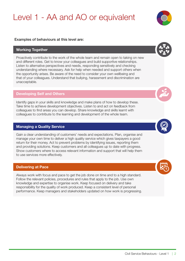### Level 1 - AA and AO or equivalent

#### Examples of behaviours at this level are:

#### Working Together

Proactively contribute to the work of the whole team and remain open to taking on new and different roles. Get to know your colleagues and build supportive relationships. Listen to alternative perspectives and needs, responding sensitively and checking understanding where necessary. Ask for help when needed and support others when the opportunity arises. Be aware of the need to consider your own wellbeing and that of your colleagues. Understand that bullying, harassment and discrimination are unacceptable.

#### Developing Self and Others

Identify gaps in your skills and knowledge and make plans of how to develop these. Take time to achieve development objectives. Listen to and act on feedback from colleagues to find areas you can develop. Share knowledge and skills learnt with colleagues to contribute to the learning and development of the whole team.

#### Managing a Quality Service

Gain a clear understanding of customers' needs and expectations. Plan, organise and manage your own time to deliver a high quality service which gives taxpayers a good return for their money. Act to prevent problems by identifying issues, reporting them and providing solutions. Keep customers and all colleagues up to date with progress. Show customers where to access relevant information and support that will help them to use services more effectively.

#### Delivering at Pace

Always work with focus and pace to get the job done on time and to a high standard. Follow the relevant policies, procedures and rules that apply to the job. Use own knowledge and expertise to organise work. Keep focused on delivery and take responsibility for the quality of work produced. Keep a consistent level of personal performance. Keep managers and stakeholders updated on how work is progressing.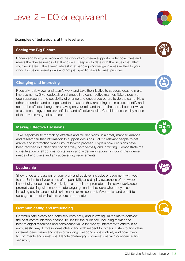### Level 2 – EO or equivalent

#### <span id="page-7-0"></span>Examples of behaviours at this level are:

#### Seeing the Big Picture

Understand how your work and the work of your team supports wider objectives and meets the diverse needs of stakeholders. Keep up to date with the issues that affect your work area. Take a keen interest in expanding knowledge in areas related to your work. Focus on overall goals and not just specific tasks to meet priorities.

#### Changing and Improving

Regularly review own and team's work and take the initiative to suggest ideas to make improvements. Give feedback on changes in a constructive manner. Take a positive, open approach to the possibility of change and encourage others to do the same. Help others to understand changes and the reasons they are being put in place. Identify and act on the effects changes are having on your role and that of the team. Look for ways to use technology to achieve efficient and effective results. Consider accessibility needs of the diverse range of end users.

#### Making Effective Decisions

Take responsibility for making effective and fair decisions, in a timely manner. Analyse and research further information to support decisions. Talk to relevant people to get advice and information when unsure how to proceed. Explain how decisions have been reached in a clear and concise way, both verbally and in writing. Demonstrate the consideration of all options, costs, risks and wider implications, including the diverse needs of end users and any accessibility requirements.

#### Leadership

Show pride and passion for your work and positive, inclusive engagement with your team. Understand your areas of responsibility and display awareness of the wider impact of your actions. Proactively role model and promote an inclusive workplace, promptly dealing with inappropriate language and behaviours when they arise, including any instances of discrimination or misconduct. Give praise and credit to colleagues and stakeholders where appropriate.

#### Communicating and Influencing

Communicate clearly and concisely both orally and in writing. Take time to consider the best communication channel to use for the audience, including making the best of digital resources and considering value for money. Interact with others in an enthusiastic way. Express ideas clearly and with respect for others. Listen to and value different ideas, views and ways of working. Respond constructively and objectively to comments and questions. Handle challenging conversations with confidence and sensitivity.









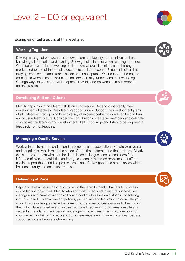### Level 2 – EO or equivalent

#### Examples of behaviours at this level are:

#### Working Together

Develop a range of contacts outside own team and identify opportunities to share knowledge, information and learning. Show genuine interest when listening to others. Contribute to an inclusive working environment where all opinions and challenges are listened to and all individual needs are taken into account. Ensure it is clear that bullying, harassment and discrimination are unacceptable. Offer support and help to colleagues when in need, including consideration of your own and their wellbeing. Change ways of working to aid cooperation within and between teams in order to achieve results.

#### Developing Self and Others

Identify gaps in own and team's skills and knowledge. Set and consistently meet development objectives. Seek learning opportunities. Support the development plans of all colleagues, recognising how diversity of experience/background can help to build an inclusive team culture. Consider the contributions of all team members and delegate work to aid the learning and development of all. Encourage and listen to developmental feedback from colleagues.

#### Managing a Quality Service

Work with customers to understand their needs and expectations. Create clear plans and set priorities which meet the needs of both the customer and the business. Clearly explain to customers what can be done. Keep colleagues and stakeholders fully informed of plans, possibilities and progress. Identify common problems that affect service, report them and find possible solutions. Deliver good customer service which balances quality and cost effectiveness.

#### Delivering at Pace

Regularly review the success of activities in the team to identify barriers to progress or challenging objectives. Identify who and what is required to ensure success, set clear goals and areas of responsibility and continually assess workloads considering individual needs. Follow relevant policies, procedures and legislation to complete your work. Ensure colleagues have the correct tools and resources available to them to do their jobs. Have a positive and focused attitude to achieving outcomes, despite any setbacks. Regularly check performance against objectives, making suggestions for improvement or taking corrective action where necessary. Ensure that colleagues are supported where tasks are challenging.





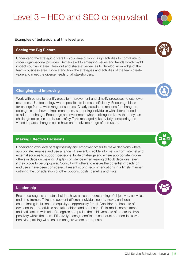## Level 3 – HEO and SEO or equivalent

#### <span id="page-9-0"></span>Examples of behaviours at this level are:

#### Seeing the Big Picture

Understand the strategic drivers for your area of work. Align activities to contribute to wider organisational priorities. Remain alert to emerging issues and trends which might impact your work area. Seek out and share experiences to develop knowledge of the team's business area. Understand how the strategies and activities of the team create value and meet the diverse needs of all stakeholders.

#### Changing and Improving

Work with others to identify areas for improvement and simplify processes to use fewer resources. Use technology where possible to increase efficiency. Encourage ideas for change from a wide range of sources. Clearly explain the reasons for change to colleagues and how to implement them, supporting individuals with different needs to adapt to change. Encourage an environment where colleagues know that they can challenge decisions and issues safely. Take managed risks by fully considering the varied impacts changes could have on the diverse range of end users.

#### Making Effective Decisions

Understand own level of responsibility and empower others to make decisions where appropriate. Analyse and use a range of relevant, credible information from internal and external sources to support decisions. Invite challenge and where appropriate involve others in decision making. Display confidence when making difficult decisions, even if they prove to be unpopular. Consult with others to ensure the potential impacts on end users have been considered. Present strong recommendations in a timely manner outlining the consideration of other options, costs, benefits and risks.

#### **Leadership**

Ensure colleagues and stakeholders have a clear understanding of objectives, activities and time-frames. Take into account different individual needs, views, and ideas, championing inclusion and equality of opportunity for all. Consider the impacts of own and team's activities on stakeholders and end users. Role-model commitment and satisfaction with role. Recognise and praise the achievements of others to drive positivity within the team. Effectively manage conflict, misconduct and non-inclusive behaviour, raising with senior managers where appropriate.





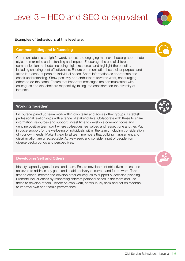## Level 3 – HEO and SEO or equivalent

#### Examples of behaviours at this level are:

#### Communicating and Influencing

Communicate in a straightforward, honest and engaging manner, choosing appropriate styles to maximise understanding and impact. Encourage the use of different communication methods, including digital resources and highlight the benefits, including ensuring cost effectiveness. Ensure communication has a clear purpose and takes into account people's individual needs. Share information as appropriate and check understanding. Show positivity and enthusiasm towards work, encouraging others to do the same. Ensure that important messages are communicated with colleagues and stakeholders respectfully, taking into consideration the diversity of interests.

#### Working Together

Encourage joined up team work within own team and across other groups. Establish professional relationships with a range of stakeholders. Collaborate with these to share information, resources and support. Invest time to develop a common focus and genuine positive team spirit where colleagues feel valued and respect one another. Put in place support for the wellbeing of individuals within the team, including consideration of your own needs. Make it clear to all team members that bullying, harassment and discrimination are unacceptable. Actively seek and consider input of people from diverse backgrounds and perspectives.

#### Developing Self and Others

Identify capability gaps for self and team. Ensure development objectives are set and achieved to address any gaps and enable delivery of current and future work. Take time to coach, mentor and develop other colleagues to support succession planning. Promote inclusiveness by respecting different personal needs in the team and use these to develop others. Reflect on own work, continuously seek and act on feedback to improve own and team's performance.





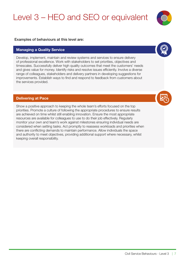## Level 3 – HEO and SEO or equivalent

#### Examples of behaviours at this level are:

#### Managing a Quality Service

Develop, implement, maintain and review systems and services to ensure delivery of professional excellence. Work with stakeholders to set priorities, objectives and timescales. Successfully deliver high quality outcomes that meet the customers' needs and gives value for money. Identify risks and resolve issues efficiently. Involve a diverse range of colleagues, stakeholders and delivery partners in developing suggestions for improvements. Establish ways to find and respond to feedback from customers about the services provided.

#### Delivering at Pace

Show a positive approach to keeping the whole team's efforts focused on the top priorities. Promote a culture of following the appropriate procedures to ensure results are achieved on time whilst still enabling innovation. Ensure the most appropriate resources are available for colleagues to use to do their job effectively. Regularly monitor your own and team's work against milestones ensuring individual needs are considered when setting tasks. Act promptly to reassess workloads and priorities when there are conflicting demands to maintain performance. Allow individuals the space and authority to meet objectives, providing additional support where necessary, whilst keeping overall responsibility.

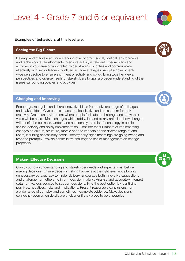### Level 4 - Grade 7 and 6 or equivalent

#### <span id="page-12-0"></span>Examples of behaviours at this level are:

#### Seeing the Big Picture

Develop and maintain an understanding of economic, social, political, environmental and technological developments to ensure activity is relevant. Ensure plans and activities in your area of work reflect wider strategic priorities and communicate effectively with senior leaders to influence future strategies. Adopt a governmentwide perspective to ensure alignment of activity and policy. Bring together views, perspectives and diverse needs of stakeholders to gain a broader understanding of the issues surrounding policies and activities.

#### Changing and Improving

Encourage, recognise and share innovative ideas from a diverse range of colleagues and stakeholders. Give people space to take initiative and praise them for their creativity. Create an environment where people feel safe to challenge and know their voice will be heard. Make changes which add value and clearly articulate how changes will benefit the business. Understand and identify the role of technology in public service delivery and policy implementation. Consider the full impact of implementing changes on culture, structure, morale and the impacts on the diverse range of end users, including accessibility needs. Identify early signs that things are going wrong and respond promptly. Provide constructive challenge to senior management on change proposals.

#### Making Effective Decisions

Clarify your own understanding and stakeholder needs and expectations, before making decisions. Ensure decision making happens at the right level, not allowing unnecessary bureaucracy to hinder delivery. Encourage both innovative suggestions and challenge from others, to inform decision making. Analyse and accurately interpret data from various sources to support decisions. Find the best option by identifying positives, negatives, risks and implications. Present reasonable conclusions from a wide range of complex and sometimes incomplete evidence. Make decisions confidently even when details are unclear or if they prove to be unpopular.





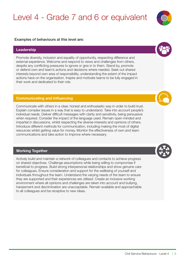### Level 4 - Grade 7 and 6 or equivalent

#### Examples of behaviours at this level are:

#### Leadership

Promote diversity, inclusion and equality of opportunity, respecting difference and external experience. Welcome and respond to views and challenges from others, despite any conflicting pressures to ignore or give in to them. Stand by, promote or defend own and team's actions and decisions where needed. Seek out shared interests beyond own area of responsibility, understanding the extent of the impact actions have on the organisation. Inspire and motivate teams to be fully engaged in their work and dedicated to their role.

#### Communicating and Influencing

Communicate with others in a clear, honest and enthusiastic way in order to build trust. Explain complex issues in a way that is easy to understand. Take into account people's individual needs. Deliver difficult messages with clarity and sensitivity, being persuasive when required. Consider the impact of the language used. Remain open-minded and impartial in discussions, whilst respecting the diverse interests and opinions of others. Introduce different methods for communication, including making the most of digital resources whilst getting value for money. Monitor the effectiveness of own and team communications and take action to improve where necessary.

#### Working Together

Actively build and maintain a network of colleagues and contacts to achieve progress on shared objectives. Challenge assumptions while being willing to compromise if beneficial to progress. Build strong interpersonal relationships and show genuine care for colleagues. Ensure consideration and support for the wellbeing of yourself and individuals throughout the team. Understand the varying needs of the team to ensure they are supported and their experiences are utilised. Create an inclusive working environment where all opinions and challenges are taken into account and bullying, harassment and discrimination are unacceptable. Remain available and approachable to all colleagues and be receptive to new ideas.









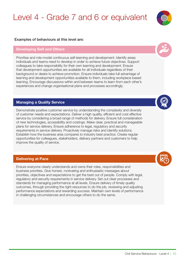### Level 4 - Grade 7 and 6 or equivalent

#### Examples of behaviours at this level are:

#### Developing Self and Others

Prioritise and role-model continuous self-learning and development. Identify areas individuals and teams need to develop in order to achieve future objectives. Support colleagues to take responsibility for their own learning and development. Ensure that development opportunities are available for all individuals regardless of their background or desire to achieve promotion. Ensure individuals take full advantage of learning and development opportunities available to them, including workplace based learning. Encourage discussions within and between teams to learn from each other's experiences and change organisational plans and processes accordingly.

#### Managing a Quality Service

Demonstrate positive customer service by understanding the complexity and diversity of customer needs and expectations. Deliver a high quality, efficient and cost effective service by considering a broad range of methods for delivery. Ensure full consideration of new technologies, accessibility and costings. Make clear, practical and manageable plans for service delivery. Ensure adherence to legal, regulatory and security requirements in service delivery. Proactively manage risks and identify solutions. Establish how the business area compares to industry best practice. Create regular opportunities for colleagues, stakeholders, delivery partners and customers to help improve the quality of service.

#### Delivering at Pace

Ensure everyone clearly understands and owns their roles, responsibilities and business priorities. Give honest, motivating and enthusiastic messages about priorities, objectives and expectations to get the best out of people. Comply with legal, regulatory and security requirements in service delivery. Set out clear processes and standards for managing performance at all levels. Ensure delivery of timely quality outcomes, through providing the right resources to do the job, reviewing and adjusting performance expectations and rewarding success. Maintain own levels of performance in challenging circumstances and encourage others to do the same.







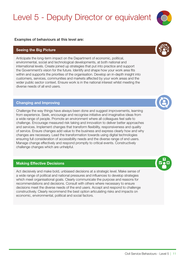### Level 5 - Deputy Director or equivalent

#### <span id="page-15-0"></span>Examples of behaviours at this level are:

#### Seeing the Big Picture

Anticipate the long-term impact on the Department of economic, political, environmental, social and technological developments, at both national and international levels. Create joined up strategies that put into practice and support the Government's vision for the future. Identify and shape how your work area fits within and supports the priorities of the organisation. Develop an in-depth insight into customers, services, communities and markets affected by your work areas and the wider public sector context. Ensure work is in the national interest whilst meeting the diverse needs of all end users.

#### Changing and Improving

Challenge the way things have always been done and suggest improvements, learning from experience. Seek, encourage and recognise initiative and imaginative ideas from a wide range of people. Promote an environment where all colleagues feel safe to challenge. Encourage measured risk taking and innovation to deliver better approaches and services. Implement changes that transform flexibility, responsiveness and quality of service. Ensure changes add value to the business and express clearly how and why changes are necessary. Lead the transformation towards using digital technologies ensuring full consideration of accessibility needs and the diverse range of end users. Manage change effectively and respond promptly to critical events. Constructively challenge changes which are unhelpful.

#### Making Effective Decisions

Act decisively and make bold, unbiased decisions at a strategic level. Make sense of a wide range of political and national pressures and influences to develop strategies which meet organisational goals. Clearly communicate the purpose and reasons for recommendations and decisions. Consult with others where necessary to ensure decisions meet the diverse needs of the end users. Accept and respond to challenge constructively. Clearly recommend the best option articulating risks and impacts on economic, environmental, political and social factors.





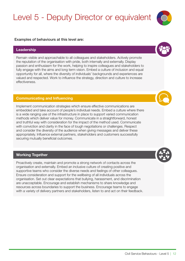### Level 5 - Deputy Director or equivalent

#### Examples of behaviours at this level are:

#### Leadership

Remain visible and approachable to all colleagues and stakeholders. Actively promote the reputation of the organisation with pride, both internally and externally. Display passion and enthusiasm for the work, helping to inspire colleagues and stakeholders to fully engage with the aims and long term vision. Embed a culture of inclusion and equal opportunity for all, where the diversity of individuals' backgrounds and experiences are valued and respected. Work to influence the strategy, direction and culture to increase effectiveness.

#### Communicating and Influencing

Implement communication strategies which ensure effective communications are embedded and take account of people's individual needs. Embed a culture where there is a wide ranging use of the infrastructure in place to support varied communication methods which deliver value for money. Communicate in a straightforward, honest and truthful way with consideration for the impact of the method used. Communicate with conviction and clarity in the face of tough negotiations or challenges. Respect and consider the diversity of the audience when giving messages and deliver these appropriately. Influence external partners, stakeholders and customers successfully securing mutually beneficial outcomes.

#### Working Together

Proactively create, maintain and promote a strong network of contacts across the organisation and externally. Embed an inclusive culture of creating positive and supportive teams who consider the diverse needs and feelings of other colleagues. Ensure consideration and support for the wellbeing of all individuals across the organisation. Set out clear expectations that bullying, harassment, and discrimination are unacceptable. Encourage and establish mechanisms to share knowledge and resources across boundaries to support the business. Encourage teams to engage with a variety of delivery partners and stakeholders, listen to and act on their feedback.



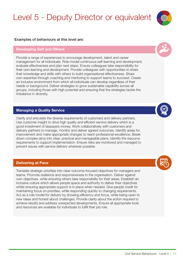### Level 5 - Deputy Director or equivalent

#### Examples of behaviours at this level are:

#### Developing Self and Others

Provide a range of experiences to encourage development, talent and career management for all individuals. Role-model continuous self-learning and development, evaluate effectiveness and plan next steps. Ensure colleagues take responsibility for their own learning and development. Provide colleagues with opportunities to share their knowledge and skills with others to build organisational effectiveness. Share own expertise through coaching and mentoring to support teams to succeed. Create an inclusive environment from which all individuals can develop regardless of their needs or background. Deliver strategies to grow sustainable capability across all groups, including those with high potential and ensuring that the strategies tackle the imbalance in diversity.

#### Managing a Quality Service

Clarify and articulate the diverse requirements of customers and delivery partners. Use customer insight to drive high quality and efficient service delivery which is a good investment of taxpayers money. Work collaboratively with customers and delivery partners to manage, monitor and deliver agreed outcomes. Identify areas for improvement and make appropriate changes to reach professional excellence. Break down complex aims into clear, practical and manageable plans. Identify the resource requirements to support implementation. Ensure risks are monitored and managed to prevent issues with service delivery wherever possible.

#### Delivering at Pace

Translate strategic priorities into clear outcome-focused objectives for managers and teams. Promote resilience and responsiveness in the organisation. Deliver against own objectives, while ensuring others take responsibility for their areas. Establish an inclusive culture which allows people space and authority to deliver their objectives whilst ensuring appropriate support is in place when needed. Give people credit for maintaining focus on priorities, while responding quickly to changing requirements. Act as a role model for delivery by showing efficiency and focus, while being open to new ideas and honest about challenges. Provide clarity about the action required to achieve results and address unexpected developments. Ensure all appropriate tools and resources are available for individuals to fulfill their job role.





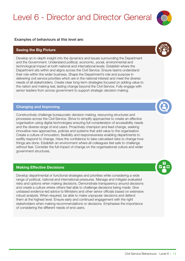### Level 6 - Director and Director General

#### <span id="page-18-0"></span>Examples of behaviours at this level are:

#### Seeing the Big Picture

Develop an in-depth insight into the dynamics and issues surrounding the Department and the Government. Understand political, economic, social, environmental and technological impact at both national and international levels. Establish where the Department sits within and aligns across the Civil Service. Ensure teams understand their role within the wider business. Shape the Department's role and purpose in delivering civil service priorities which are in the national interest and meet the diverse needs of all stakeholders. Create clear long-term strategies focused on adding value to the nation and making real, lasting change beyond the Civil Service. Fully engage with senior leaders from across government to support strategic decision making.

#### Changing and Improving

Constructively challenge bureaucratic decision making, resourcing structures and processes across the Civil Service. Strive to simplify approaches to create an effective organisation using digital technologies ensuring full consideration of accessibility needs and the diverse range of end users. Proactively champion and lead change, seeking innovative new approaches, policies and systems that add value to the organisation. Create a culture of innovation, flexibility and responsiveness enabling departments to swiftly respond to change. Have the confidence to take calculated risks to change how things are done. Establish an environment where all colleagues feel safe to challenge without fear. Consider the full impact of change on the organisational culture and wider government structures.

#### Making Effective Decisions

Develop departmental or functional strategies and priorities while considering a wide range of political, national and international pressures. Manage and mitigate evaluated risks and options when making decisions. Demonstrate transparency around decisions and create a culture where others feel able to challenge decisions being made. Give unbiased evidence-led advice to Ministers and other senior officials based on extensive robust analysis. When required, be able to make unpopular decisions and defend them at the highest level. Ensure early and continued engagement with the right stakeholders when making recommendations or decisions. Emphasise the importance of considering the different needs of end users.









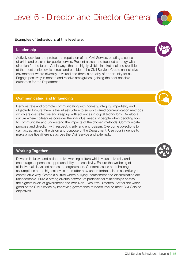### Level 6 - Director and Director General

#### Examples of behaviours at this level are:

#### Leadership

Actively develop and protect the reputation of the Civil Service, creating a sense of pride and passion for public service. Present a clear and focused strategy with direction for the future. Act in ways that are highly visible, inspirational and credible at the most senior levels across and outside of the Civil Service. Create an inclusive environment where diversity is valued and there is equality of opportunity for all. Engage positively in debate and resolve ambiguities, gaining the best possible outcomes for the Department.

#### Communicating and Influencing

Demonstrate and promote communicating with honesty, integrity, impartiality and objectivity. Ensure there is the infrastructure to support varied communication methods which are cost effective and keep up with advances in digital technology. Develop a culture where colleagues consider the individual needs of people when deciding how to communicate and understand the impacts of the chosen methods. Communicate purpose and direction with respect, clarity and enthusiasm. Overcome objections to gain acceptance of the vision and purpose of the Department. Use your influence to make a positive difference across the Civil Service and externally.

#### Working Together

Drive an inclusive and collaborative working culture which values diversity and encourages, openness, approachability and sensitivity. Ensure the wellbeing of all individuals is valued across the organisation. Confront issues and challenge assumptions at the highest levels, no matter how uncomfortable, in an assertive yet constructive way. Create a culture where bullying, harassment and discrimination are unacceptable. Build a strong diverse network of professional relationships across the highest levels of government and with Non-Executive Directors. Act for the wider good of the Civil Service by improving governance at board level to meet Civil Service objectives.